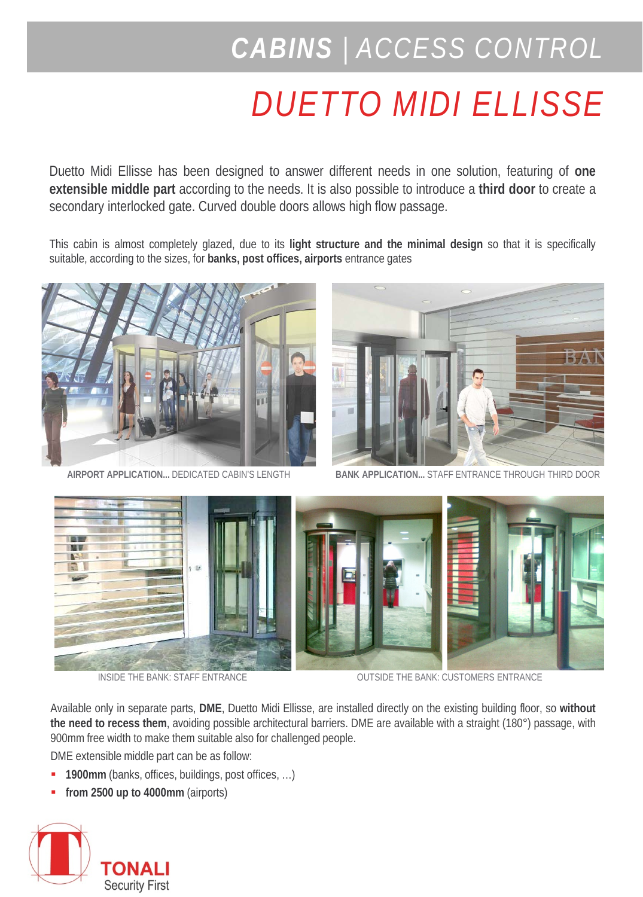# *CABINS | ACCESS CONTROL*

# *DUETTO MIDI ELLISSE*

Duetto Midi Ellisse has been designed to answer different needs in one solution, featuring of **one extensible middle part** according to the needs. It is also possible to introduce a **third door** to create a secondary interlocked gate. Curved double doors allows high flow passage.

This cabin is almost completely glazed, due to its **light structure and the minimal design** so that it is specifically suitable, according to the sizes, for **banks, post offices, airports** entrance gates





**AIRPORT APPLICATION...** DEDICATED CABIN'S LENGTH **BANK APPLICATION...** STAFF ENTRANCE THROUGH THIRD DOOR



INSIDE THE BANK: STAFF ENTRANCE **OUTSIDE THE BANK: CUSTOMERS ENTRANCE** 

Available only in separate parts, **DME**, Duetto Midi Ellisse, are installed directly on the existing building floor, so **without the need to recess them**, avoiding possible architectural barriers. DME are available with a straight (180°) passage, with 900mm free width to make them suitable also for challenged people.

DME extensible middle part can be as follow:

- **1900mm** (banks, offices, buildings, post offices, …)
- **from 2500 up to 4000mm** (airports)

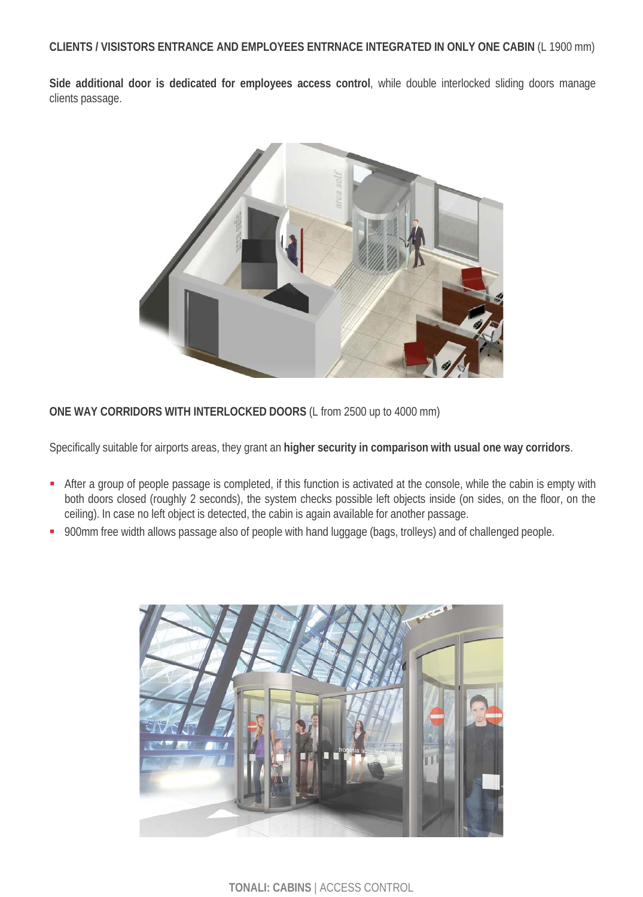**Side additional door is dedicated for employees access control**, while double interlocked sliding doors manage clients passage.



**ONE WAY CORRIDORS WITH INTERLOCKED DOORS** (L from 2500 up to 4000 mm)

Specifically suitable for airports areas, they grant an **higher security in comparison with usual one way corridors**.

- After a group of people passage is completed, if this function is activated at the console, while the cabin is empty with both doors closed (roughly 2 seconds), the system checks possible left objects inside (on sides, on the floor, on the ceiling). In case no left object is detected, the cabin is again available for another passage.
- 900mm free width allows passage also of people with hand luggage (bags, trolleys) and of challenged people.



**TONALI: CABINS** | ACCESS CONTROL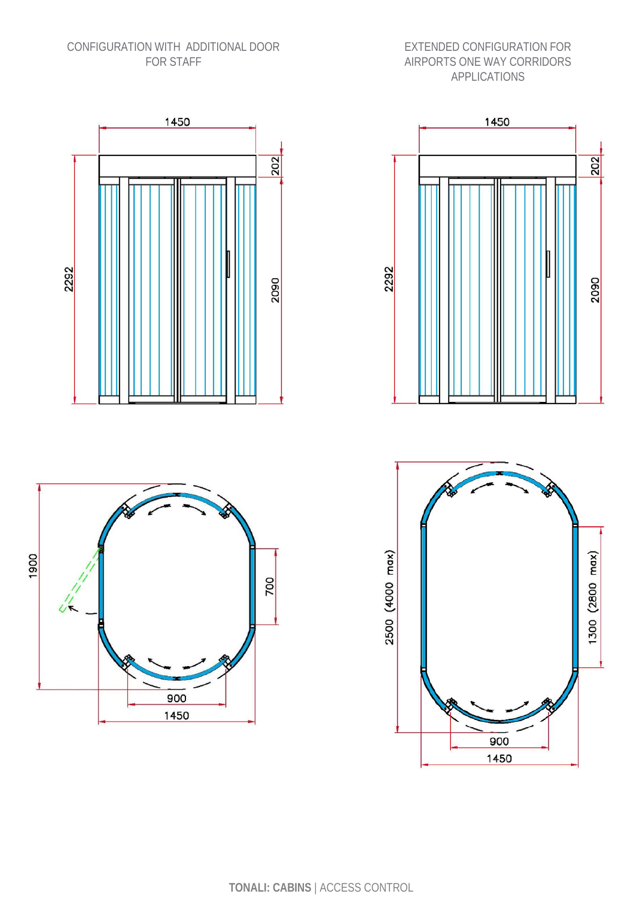#### CONFIGURATION WITH ADDITIONAL DOOR FOR STAFF

#### EXTENDED CONFIGURATION FOR AIRPORTS ONE WAY CORRIDORS APPLICATIONS